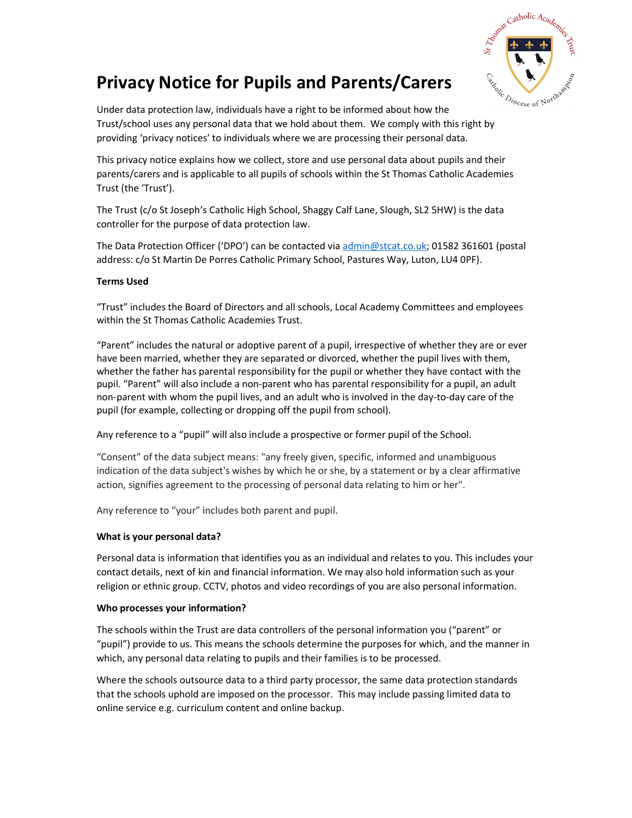

# Privacy Notice for Pupils and Parents/Carers

Under data protection law, individuals have a right to be informed about how the Trust/school uses any personal data that we hold about them. We comply with this right by providing 'privacy notices' to individuals where we are processing their personal data.

This privacy notice explains how we collect, store and use personal data about pupils and their parents/carers and is applicable to all pupils of schools within the St Thomas Catholic Academies Trust (the 'Trust').

The Trust (c/o St Joseph's Catholic High School, Shaggy Calf Lane, Slough, SL2 5HW) is the data controller for the purpose of data protection law.

The Data Protection Officer ('DPO') can be contacted via admin@stcat.co.uk; 01582 361601 (postal address: c/o St Martin De Porres Catholic Primary School, Pastures Way, Luton, LU4 0PF).

# Terms Used

"Trust" includes the Board of Directors and all schools, Local Academy Committees and employees within the St Thomas Catholic Academies Trust.

"Parent" includes the natural or adoptive parent of a pupil, irrespective of whether they are or ever have been married, whether they are separated or divorced, whether the pupil lives with them, whether the father has parental responsibility for the pupil or whether they have contact with the pupil. "Parent" will also include a non-parent who has parental responsibility for a pupil, an adult non-parent with whom the pupil lives, and an adult who is involved in the day-to-day care of the pupil (for example, collecting or dropping off the pupil from school).

Any reference to a "pupil" will also include a prospective or former pupil of the School.

"Consent" of the data subject means: "any freely given, specific, informed and unambiguous indication of the data subject's wishes by which he or she, by a statement or by a clear affirmative action, signifies agreement to the processing of personal data relating to him or her".

Any reference to "your" includes both parent and pupil.

# What is your personal data?

Personal data is information that identifies you as an individual and relates to you. This includes your contact details, next of kin and financial information. We may also hold information such as your religion or ethnic group. CCTV, photos and video recordings of you are also personal information.

#### Who processes your information?

The schools within the Trust are data controllers of the personal information you ("parent" or "pupil") provide to us. This means the schools determine the purposes for which, and the manner in which, any personal data relating to pupils and their families is to be processed.

Where the schools outsource data to a third party processor, the same data protection standards that the schools uphold are imposed on the processor. This may include passing limited data to online service e.g. curriculum content and online backup.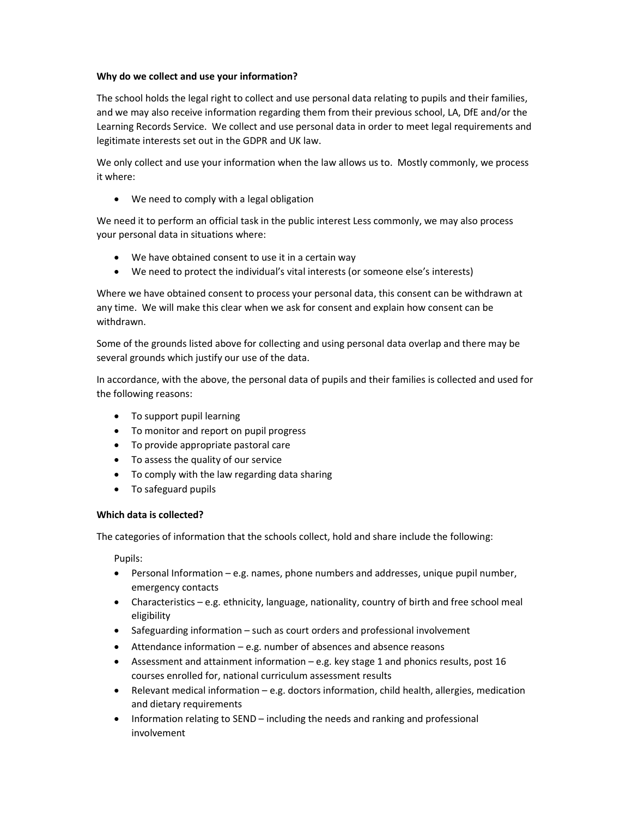## Why do we collect and use your information?

The school holds the legal right to collect and use personal data relating to pupils and their families, and we may also receive information regarding them from their previous school, LA, DfE and/or the Learning Records Service. We collect and use personal data in order to meet legal requirements and legitimate interests set out in the GDPR and UK law.

We only collect and use your information when the law allows us to. Mostly commonly, we process it where:

We need to comply with a legal obligation

We need it to perform an official task in the public interest Less commonly, we may also process your personal data in situations where:

- We have obtained consent to use it in a certain way
- We need to protect the individual's vital interests (or someone else's interests)

Where we have obtained consent to process your personal data, this consent can be withdrawn at any time. We will make this clear when we ask for consent and explain how consent can be withdrawn.

Some of the grounds listed above for collecting and using personal data overlap and there may be several grounds which justify our use of the data.

In accordance, with the above, the personal data of pupils and their families is collected and used for the following reasons:

- To support pupil learning
- To monitor and report on pupil progress
- To provide appropriate pastoral care
- To assess the quality of our service
- To comply with the law regarding data sharing
- To safeguard pupils

#### Which data is collected?

The categories of information that the schools collect, hold and share include the following:

Pupils:

- Personal Information e.g. names, phone numbers and addresses, unique pupil number, emergency contacts
- Characteristics e.g. ethnicity, language, nationality, country of birth and free school meal eligibility
- Safeguarding information such as court orders and professional involvement
- Attendance information e.g. number of absences and absence reasons
- Assessment and attainment information e.g. key stage 1 and phonics results, post 16 courses enrolled for, national curriculum assessment results
- Relevant medical information e.g. doctors information, child health, allergies, medication and dietary requirements
- Information relating to SEND including the needs and ranking and professional involvement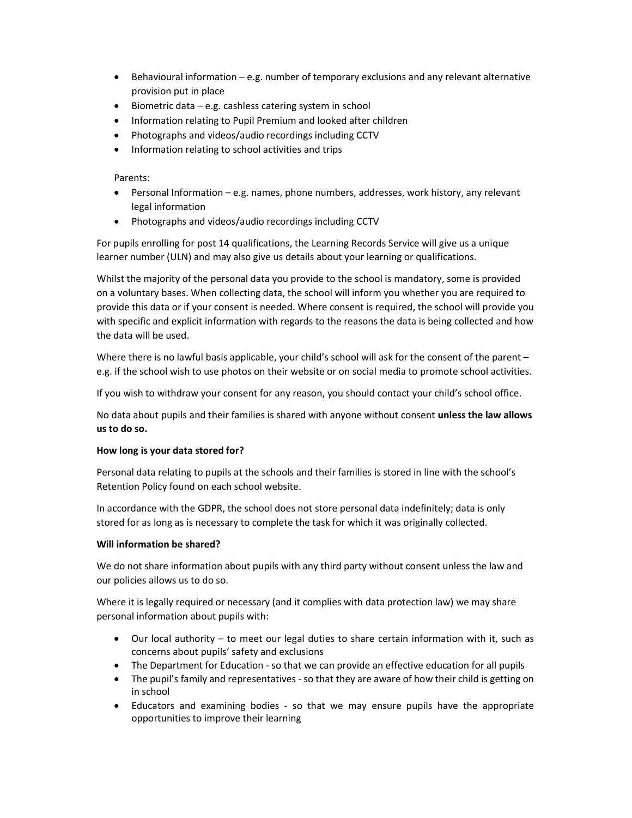- Behavioural information e.g. number of temporary exclusions and any relevant alternative provision put in place
- $\bullet$  Biometric data e.g. cashless catering system in school
- Information relating to Pupil Premium and looked after children
- Photographs and videos/audio recordings including CCTV
- Information relating to school activities and trips

## Parents:

- Personal Information e.g. names, phone numbers, addresses, work history, any relevant legal information
- Photographs and videos/audio recordings including CCTV

For pupils enrolling for post 14 qualifications, the Learning Records Service will give us a unique learner number (ULN) and may also give us details about your learning or qualifications.

Whilst the majority of the personal data you provide to the school is mandatory, some is provided on a voluntary bases. When collecting data, the school will inform you whether you are required to provide this data or if your consent is needed. Where consent is required, the school will provide you with specific and explicit information with regards to the reasons the data is being collected and how the data will be used.

Where there is no lawful basis applicable, your child's school will ask for the consent of the parent – e.g. if the school wish to use photos on their website or on social media to promote school activities.

If you wish to withdraw your consent for any reason, you should contact your child's school office.

No data about pupils and their families is shared with anyone without consent unless the law allows us to do so.

# How long is your data stored for?

Personal data relating to pupils at the schools and their families is stored in line with the school's Retention Policy found on each school website.

In accordance with the GDPR, the school does not store personal data indefinitely; data is only stored for as long as is necessary to complete the task for which it was originally collected.

# Will information be shared?

We do not share information about pupils with any third party without consent unless the law and our policies allows us to do so.

Where it is legally required or necessary (and it complies with data protection law) we may share personal information about pupils with:

- Our local authority to meet our legal duties to share certain information with it, such as concerns about pupils' safety and exclusions
- The Department for Education so that we can provide an effective education for all pupils
- The pupil's family and representatives so that they are aware of how their child is getting on in school
- Educators and examining bodies so that we may ensure pupils have the appropriate opportunities to improve their learning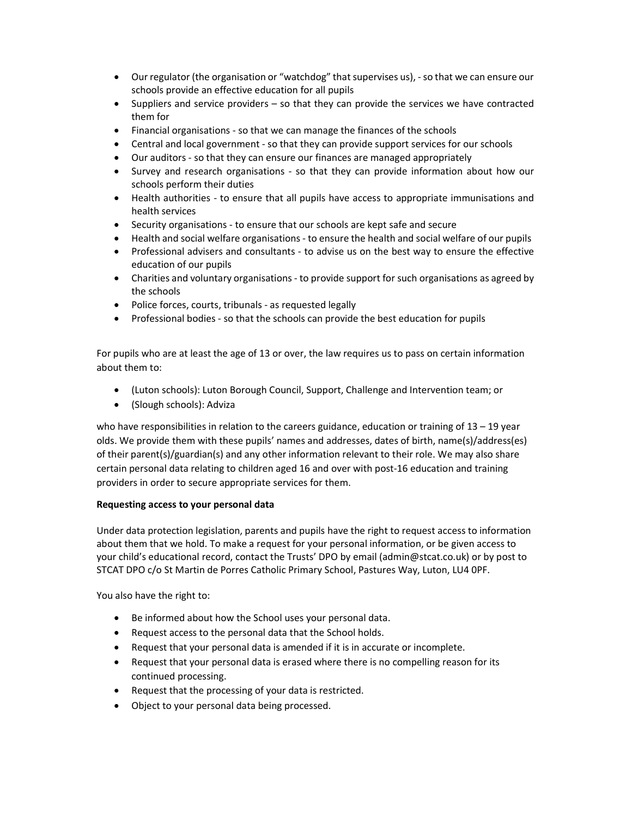- Our regulator (the organisation or "watchdog" that supervises us), so that we can ensure our schools provide an effective education for all pupils
- Suppliers and service providers so that they can provide the services we have contracted them for
- Financial organisations so that we can manage the finances of the schools
- Central and local government so that they can provide support services for our schools
- Our auditors so that they can ensure our finances are managed appropriately
- Survey and research organisations so that they can provide information about how our schools perform their duties
- Health authorities to ensure that all pupils have access to appropriate immunisations and health services
- Security organisations to ensure that our schools are kept safe and secure
- Health and social welfare organisations to ensure the health and social welfare of our pupils
- Professional advisers and consultants to advise us on the best way to ensure the effective education of our pupils
- Charities and voluntary organisations to provide support for such organisations as agreed by the schools
- Police forces, courts, tribunals as requested legally
- Professional bodies so that the schools can provide the best education for pupils

For pupils who are at least the age of 13 or over, the law requires us to pass on certain information about them to:

- (Luton schools): Luton Borough Council, Support, Challenge and Intervention team; or
- (Slough schools): Adviza

who have responsibilities in relation to the careers guidance, education or training of 13 - 19 year olds. We provide them with these pupils' names and addresses, dates of birth, name(s)/address(es) of their parent(s)/guardian(s) and any other information relevant to their role. We may also share certain personal data relating to children aged 16 and over with post-16 education and training providers in order to secure appropriate services for them.

#### Requesting access to your personal data

Under data protection legislation, parents and pupils have the right to request access to information about them that we hold. To make a request for your personal information, or be given access to your child's educational record, contact the Trusts' DPO by email (admin@stcat.co.uk) or by post to STCAT DPO c/o St Martin de Porres Catholic Primary School, Pastures Way, Luton, LU4 0PF.

You also have the right to:

- Be informed about how the School uses your personal data.
- Request access to the personal data that the School holds.
- Request that your personal data is amended if it is in accurate or incomplete.
- Request that your personal data is erased where there is no compelling reason for its continued processing.
- Request that the processing of your data is restricted.
- Object to your personal data being processed.